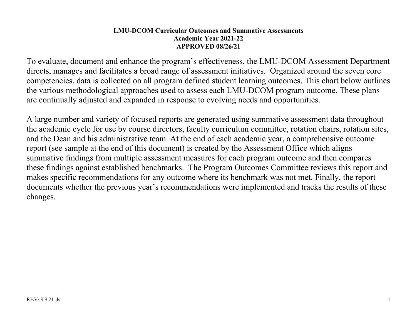## **LMU-DCOM Curricular Outcomes and Summative Assessments Academic Year 2021-22 APPROVED 08/26/21**

To evaluate, document and enhance the program's effectiveness, the LMU-DCOM Assessment Department directs, manages and facilitates a broad range of assessment initiatives. Organized around the seven core competencies, data is collected on all program defined student learning outcomes. This chart below outlines the various methodological approaches used to assess each LMU-DCOM program outcome. These plans are continually adjusted and expanded in response to evolving needs and opportunities.

A large number and variety of focused reports are generated using summative assessment data throughout the academic cycle for use by course directors, faculty curriculum committee, rotation chairs, rotation sites, and the Dean and his administrative team. At the end of each academic year, a comprehensive outcome report (see sample at the end of this document) is created by the Assessment Office which aligns summative findings from multiple assessment measures for each program outcome and then compares these findings against established benchmarks. The Program Outcomes Committee reviews this report and makes specific recommendations for any outcome where its benchmark was not met. Finally, the report documents whether the previous year's recommendations were implemented and tracks the results of these changes.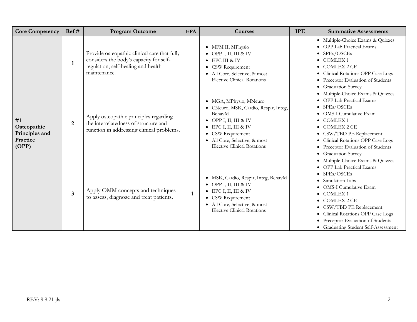| <b>Core Competency</b>                                   | Ref#                    | <b>Program Outcome</b>                                                                                                                         | <b>EPA</b> | <b>Courses</b>                                                                                                                                                                                                                  | <b>IPE</b> | <b>Summative Assessments</b>                                                                                                                                                                                                                                                                                       |
|----------------------------------------------------------|-------------------------|------------------------------------------------------------------------------------------------------------------------------------------------|------------|---------------------------------------------------------------------------------------------------------------------------------------------------------------------------------------------------------------------------------|------------|--------------------------------------------------------------------------------------------------------------------------------------------------------------------------------------------------------------------------------------------------------------------------------------------------------------------|
|                                                          | $\mathbf{1}$            | Provide osteopathic clinical care that fully<br>considers the body's capacity for self-<br>regulation, self-healing and health<br>maintenance. |            | • MFM II, MPhysio<br>• OPP I, II, III & IV<br>$\bullet$ EPC III & IV<br>• CSW Requirement<br>· All Core, Selective, & most<br><b>Elective Clinical Rotations</b>                                                                |            | · Multiple-Choice Exams & Quizzes<br>• OPP Lab Practical Exams<br>SPEs/OSCEs<br>• COMLEX 1<br>· COMLEX 2 CE<br>• Clinical Rotations OPP Case Logs<br>Preceptor Evaluation of Students<br>• Graduation Survey                                                                                                       |
| #1<br>Osteopathic<br>Principles and<br>Practice<br>(OPP) | 2                       | Apply osteopathic principles regarding<br>the interrelatedness of structure and<br>function in addressing clinical problems.                   |            | • MGA, MPhysio, MNeuro<br>• CNeuro, MSK, Cardio, Respir, Integ,<br>BehavM<br>• OPP I, II, III & IV<br>$\bullet$ EPC I, II, III & IV<br>• CSW Requirement<br>· All Core, Selective, & most<br><b>Elective Clinical Rotations</b> |            | · Multiple-Choice Exams & Quizzes<br>• OPP Lab Practical Exams<br>SPEs/OSCEs<br><b>OMS-I Cumulative Exam</b><br>• COMLEX 1<br>$\bullet$ COMLEX 2 CE<br>• CSW/TBD PE Replacement<br>• Clinical Rotations OPP Case Logs<br>• Preceptor Evaluation of Students<br>• Graduation Survey                                 |
|                                                          | $\overline{\mathbf{3}}$ | Apply OMM concepts and techniques<br>to assess, diagnose and treat patients.                                                                   |            | · MSK, Cardio, Respir, Integ, BehavM<br>• OPP I, II, III & IV<br>$\bullet$ EPC I, II, III & IV<br>• CSW Requirement<br>• All Core, Selective, & most<br><b>Elective Clinical Rotations</b>                                      |            | · Multiple-Choice Exams & Quizzes<br>• OPP Lab Practical Exams<br>• $SPEs/OSCEs$<br>Simulation Labs<br><b>OMS-I Cumulative Exam</b><br>• COMLEX 1<br>• COMLEX 2 CE<br>• CSW/TBD PE Replacement<br>• Clinical Rotations OPP Case Logs<br>• Preceptor Evaluation of Students<br>• Graduating Student Self-Assessment |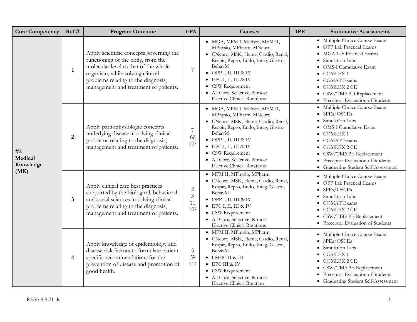| <b>Core Competency</b>     | Ref#                    | <b>Program Outcome</b>                                                                                                                                                                                                                   | <b>EPA</b>                                                | Courses                                                                                                                                                                                                                                                                                                        | <b>IPE</b> | <b>Summative Assessments</b>                                                                                                                                                                                                                                        |
|----------------------------|-------------------------|------------------------------------------------------------------------------------------------------------------------------------------------------------------------------------------------------------------------------------------|-----------------------------------------------------------|----------------------------------------------------------------------------------------------------------------------------------------------------------------------------------------------------------------------------------------------------------------------------------------------------------------|------------|---------------------------------------------------------------------------------------------------------------------------------------------------------------------------------------------------------------------------------------------------------------------|
|                            | $\mathbf{1}$            | Apply scientific concepts governing the<br>functioning of the body, from the<br>molecular level to that of the whole<br>organism, while solving clinical<br>problems relating to the diagnosis,<br>management and treatment of patients. | 7                                                         | • MGA, MFM I, MHisto, MFM II,<br>MPhysio, MPharm, MNeuro<br>· CNeuro, MSK, Heme, Cardio, Renal,<br>Respir, Repro, Endo, Integ, Gastro,<br>BehavM<br>$\bullet$ OPP I, II, III & IV<br>$\bullet$ EPC I, II, III & IV<br>• CSW Requirement<br>• All Core, Selective, & most<br><b>Elective Clinical Rotations</b> |            | • Multiple-Choice Course Exams<br>• OPP Lab Practical Exams<br>· MGA Lab Practical Exams<br>Simulation Labs<br>· OMS-I Cumulative Exam<br>· COMLEX 1<br>• COMAT Exams<br>$\bullet$ COMLEX 2 CE<br>• CSW/TBD PD Replacement<br>• Preceptor Evaluation of Students    |
| #2<br>Medical<br>Knowledge | $\overline{2}$          | Apply pathophysiologic concepts<br>underlying disease in solving clinical<br>problems relating to the diagnosis,<br>management and treatment of patients.                                                                                | $\overline{7}$<br>6 <sup>5</sup><br>10 <sup>5</sup>       | · MGA, MFM I, MHisto, MFM II,<br>MPhysio, MPharm, MNeuro<br>· CNeuro, MSK, Heme, Cardio, Renal,<br>Respir, Repro, Endo, Integ, Gastro,<br>BehavM<br>• OPP I, II, III & IV<br>$\bullet$ EPC I, II, III & IV<br>• CSW Requirement<br>· All Core, Selective, & most<br><b>Elective Clinical Rotations</b>         |            | · Multiple-Choice Course Exams<br>$\bullet$ SPEs/OSCEs<br>Simulation Labs<br><b>OMS-I Cumulative Exam</b><br>· COMLEX 1<br>• COMAT Exams<br>· COMLEX 2 CE<br>• CSW/TBD PE Replacement<br>• Preceptor Evaluation of Students<br>• Graduating Student Self-Assessment |
| (MK)                       | $\overline{\mathbf{3}}$ | Apply clinical care best practices<br>supported by the biological, behavioral<br>and social sciences in solving clinical<br>problems relating to the diagnosis,<br>management and treatment of patients.                                 | $\overline{c}$<br>$\mathfrak{Z}$<br>11<br>10 <sup>5</sup> | · MFM II, MPhysio, MPharm<br>· CNeuro, MSK, Heme, Cardio, Renal,<br>Respir, Repro, Endo, Integ, Gastro,<br>BehavM<br>• OPP I, II, III & IV<br>$\bullet$ EPC I, II, III & IV<br>• CSW Requirement<br>· All Core, Selective, & most<br><b>Elective Clinical Rotations</b>                                        |            | • Multiple-Choice Course Exams<br><b>OPP Lab Practical Exams</b><br>SPEs/OSCEs<br>Simulation Labs<br>• COMAT Exams<br>· COMLEX 2 CE<br>• CSW/TBD PE Replacement<br>• Preceptor Evaluation of Students                                                               |
|                            | $\overline{\mathbf{4}}$ | Apply knowledge of epidemiology and<br>disease risk factors to formulate patient<br>specific recommendations for the<br>prevention of disease and promotion of<br>good health.                                                           | 5<br>3 <sup>5</sup><br>11 <sup>5</sup>                    | · MFM II, MPhysio, MPharm<br>· CNeuro, MSK, Heme, Cardio, Renal,<br>Respir, Repro, Endo, Integ, Gastro,<br>BehavM<br>· FMHC II & III<br>• EPC III & IV<br>• CSW Requirement<br>· All Core, Selective, & most<br>Elective Clinical Rotation                                                                     |            | · Multiple-Choice Course Exams<br>SPEs/OSCEs<br>Simulation Labs<br>· COMLEX 1<br>• COMLEX 2 CE<br>• CSW/TBD PE Replacement<br>• Preceptor Evaluation of Students<br>• Graduating Student Self-Assessment                                                            |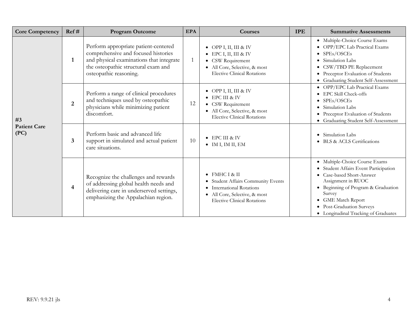| <b>Core Competency</b>      | Ref#                    | <b>Program Outcome</b>                                                                                                                                                                   | <b>EPA</b> | Courses                                                                                                                                                       | <b>IPE</b> | <b>Summative Assessments</b>                                                                                                                                                                                                                                          |
|-----------------------------|-------------------------|------------------------------------------------------------------------------------------------------------------------------------------------------------------------------------------|------------|---------------------------------------------------------------------------------------------------------------------------------------------------------------|------------|-----------------------------------------------------------------------------------------------------------------------------------------------------------------------------------------------------------------------------------------------------------------------|
|                             | $\mathbf{1}$            | Perform appropriate patient-centered<br>comprehensive and focused histories<br>and physical examinations that integrate<br>the osteopathic structural exam and<br>osteopathic reasoning. |            | • OPP I, II, III & IV<br>$\bullet$ EPC I, II, III & IV<br>• CSW Requirement<br>All Core, Selective, & most<br><b>Elective Clinical Rotations</b>              |            | · Multiple-Choice Course Exams<br>• OPP/EPC Lab Practical Exams<br>SPEs/OSCEs<br>Simulation Labs<br>CSW/TBD PE Replacement<br>Preceptor Evaluation of Students<br>• Graduating Student Self-Assessment                                                                |
| #3                          | $\overline{2}$          | Perform a range of clinical procedures<br>and techniques used by osteopathic<br>physicians while minimizing patient<br>discomfort.                                                       | 12         | • OPP I, II, III & IV<br>$\bullet$ EPC III & IV<br>• CSW Requirement<br>· All Core, Selective, & most<br><b>Elective Clinical Rotations</b>                   |            | OPP/EPC Lab Practical Exams<br>EPC Skill Check-offs<br>SPEs/OSCEs<br>Simulation Labs<br>Preceptor Evaluation of Students<br>Graduating Student Self-Assessment                                                                                                        |
| <b>Patient Care</b><br>(PC) | $\overline{\mathbf{3}}$ | Perform basic and advanced life<br>support in simulated and actual patient<br>care situations.                                                                                           | 10         | ● EPC III & IV<br>$\bullet$ IM I, IM II, EM                                                                                                                   |            | Simulation Labs<br><b>BLS &amp; ACLS Certifications</b>                                                                                                                                                                                                               |
|                             | $\overline{4}$          | Recognize the challenges and rewards<br>of addressing global health needs and<br>delivering care in underserved settings,<br>emphasizing the Appalachian region.                         |            | $\bullet$ FMHC I & II<br>• Student Affairs Community Events<br>• International Rotations<br>All Core, Selective, & most<br><b>Elective Clinical Rotations</b> |            | Multiple-Choice Course Exams<br>Student Affairs Event Participation<br>• Case-based Short-Answer<br>Assignment in RUOC<br>• Beginning of Program & Graduation<br>Survey<br><b>GME Match Report</b><br>Post-Graduation Surveys<br>• Longitudinal Tracking of Graduates |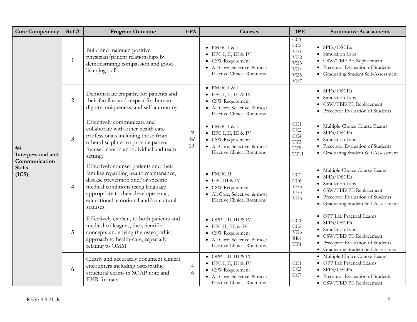| <b>Core Competency</b>                   | Ref#                    | <b>Program Outcome</b>                                                                                                                                                                                                                                    | <b>EPA</b>          | Courses                                                                                                                                                    | <b>IPE</b>                                                                   | <b>Summative Assessments</b>                                                                                                                                                          |
|------------------------------------------|-------------------------|-----------------------------------------------------------------------------------------------------------------------------------------------------------------------------------------------------------------------------------------------------------|---------------------|------------------------------------------------------------------------------------------------------------------------------------------------------------|------------------------------------------------------------------------------|---------------------------------------------------------------------------------------------------------------------------------------------------------------------------------------|
|                                          | $\mathbf{1}$            | Build and maintain positive<br>physician/patient relationships by<br>demonstrating compassion and good<br>listening skills.                                                                                                                               |                     | $\bullet$ FMHC I & II<br>$\bullet$ EPC I, II, III & IV<br>• CSW Requirement<br>· All Core, Selective, & most<br><b>Elective Clinical Rotations</b>         | CC1<br>CC2<br>VE <sub>1</sub><br>VE <sub>2</sub><br>VE3<br>VE4<br>VE5<br>VE7 | $\bullet$ SPEs/OSCEs<br>• Simulation Labs<br>• CSW/TBD PE Replacement<br>• Preceptor Evaluation of Students<br>• Graduating Student Self-Assessment                                   |
|                                          | $\overline{2}$          | Demonstrate empathy for patients and<br>their families and respect for human<br>dignity, uniqueness, and self-autonomy.                                                                                                                                   |                     | $\bullet$ FMHC I & II<br>$\bullet$ EPC I, II, III & IV<br>• CSW Requirement<br>· All Core, Selective, & most<br><b>Elective Clinical Rotations</b>         |                                                                              | $\bullet$ SPEs/OSCEs<br>• Simulation Labs<br>CSW/TBD PE Replacement<br>• Preceptor Evaluation of Students                                                                             |
| #4<br>Interpersonal and<br>Communication | $\mathbf{3}$            | Effectively communicate and<br>collaborate with other health care<br>professionals including those from<br>other disciplines to provide patient-<br>focused care in an individual and team<br>setting.                                                    | 9<br>8?<br>13?      | $\bullet$ FMHC I & II<br>$\bullet$ EPC I, II, III & IV<br>• CSW Requirement<br>• All Core, Selective, & most<br><b>Elective Clinical Rotations</b>         | CC1<br>CC2<br>CC4<br>TT3<br>$\rm TT8$<br>TT11                                | · Multiple-Choice Course Exams<br>$\bullet$ SPEs/OSCEs<br>· Simulation Labs<br>Preceptor Evaluation of Students<br>• Graduating Student Self-Assessment                               |
| <b>Skills</b><br>(ICS)                   | $\overline{\mathbf{4}}$ | Effectively counsel patients and their<br>families regarding health maintenance,<br>disease prevention and/or specific<br>medical conditions using language<br>appropriate to their developmental,<br>educational, emotional and/or cultural<br>statuses. |                     | $\bullet$ FMHC II<br>● EPC III & IV<br>• CSW Requirement<br>• All Core, Selective, & most<br><b>Elective Clinical Rotations</b>                            | CC2<br>CC6<br>VE3<br>VE5<br>VE <sub>6</sub>                                  | · Multiple-Choice Course Exams<br>$\bullet$ SPEs/OSCEs<br>• Simulation Labs<br>• CSW/TBD PE Replacement<br>• Preceptor Evaluation of Students<br>• Graduating Student Self-Assessment |
|                                          | 5                       | Effectively explain, to both patients and<br>medical colleagues, the scientific<br>concepts underlying the osteopathic<br>approach to health-care, especially<br>relating to OMM.                                                                         |                     | • OPP I, II, III & IV<br>$\bullet$ EPC II, III, & IV<br>• CSW Requirement<br>· All Core, Selective, & most<br><b>Elective Clinical Rotations</b>           | CC1<br>CC2<br>VE <sub>6</sub><br>RR1<br>TT <sub>4</sub>                      | • OPP Lab Practical Exams<br>$\bullet$ SPEs/OSCEs<br>• Simulation Labs<br>• CSW/TBD PE Replacement<br>• Preceptor Evaluation of Students<br>• Graduating Student Self-Assessment      |
|                                          | 6                       | Clearly and accurately document clinical<br>encounters including osteopathic<br>structural exams in SOAP note and<br>EHR formats.                                                                                                                         | $\overline{4}$<br>6 | $\bullet$ OPP I, II, III & IV<br>$\bullet$ EPC I, II, III & IV<br>• CSW Requirement<br>· All Core, Selective, & most<br><b>Elective Clinical Rotations</b> | CC1<br>CC3<br>CC7                                                            | · Multiple-Choice Course Exams<br>• OPP Lab Practical Exams<br>$\bullet$ SPEs/OSCEs<br>• Preceptor Evaluation of Students<br>• CSW/TBD PE Replacement                                 |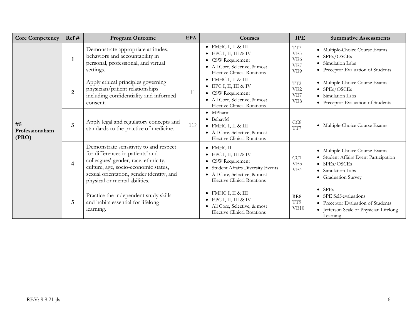| <b>Core Competency</b>                  | Ref#                    | <b>Program Outcome</b>                                                                                                                                                                                                                  | <b>EPA</b> | <b>Courses</b>                                                                                                                                                                       | <b>IPE</b>                                              | <b>Summative Assessments</b>                                                                                                                |
|-----------------------------------------|-------------------------|-----------------------------------------------------------------------------------------------------------------------------------------------------------------------------------------------------------------------------------------|------------|--------------------------------------------------------------------------------------------------------------------------------------------------------------------------------------|---------------------------------------------------------|---------------------------------------------------------------------------------------------------------------------------------------------|
|                                         | $\mathbf{1}$            | Demonstrate appropriate attitudes,<br>behaviors and accountability in<br>personal, professional, and virtual<br>settings.                                                                                                               |            | $\bullet$ FMHC I, II & III<br>EPC I, II, III & IV<br>• CSW Requirement<br>• All Core, Selective, & most<br><b>Elective Clinical Rotations</b>                                        | TT7<br>VE <sub>5</sub><br>VE <sub>6</sub><br>VE7<br>VE9 | · Multiple-Choice Course Exams<br>$\bullet$ SPEs/OSCEs<br>• Simulation Labs<br>• Preceptor Evaluation of Students                           |
|                                         | $\overline{2}$          | Apply ethical principles governing<br>physician/patient relationships<br>including confidentiality and informed<br>consent.                                                                                                             | 11         | $\bullet$ FMHC I, II & III<br>$\bullet$ EPC I, II, III & IV<br>• CSW Requirement<br>• All Core, Selective, & most<br><b>Elective Clinical Rotations</b>                              | TT <sub>2</sub><br>VE <sub>2</sub><br>VE7<br>VE8        | · Multiple-Choice Course Exams<br>$\bullet$ SPEs/OSCEs<br>• Simulation Labs<br>• Preceptor Evaluation of Students                           |
| #5<br>Professionalism<br>$(\text{PRO})$ | $\overline{\mathbf{3}}$ | Apply legal and regulatory concepts and<br>standards to the practice of medicine.                                                                                                                                                       | 11?        | $\bullet$ MPharm<br>$\bullet$ BehavM<br>$\bullet$ FMHC I, II & III<br>• All Core, Selective, & most<br><b>Elective Clinical Rotations</b>                                            | CC <sub>8</sub><br>TT7                                  | · Multiple-Choice Course Exams                                                                                                              |
|                                         | $\overline{4}$          | Demonstrate sensitivity to and respect<br>for differences in patients' and<br>colleagues' gender, race, ethnicity,<br>culture, age, socio-economic status,<br>sexual orientation, gender identity, and<br>physical or mental abilities. |            | $\bullet$ FMHC II<br>$\bullet$ EPC I, II, III & IV<br>• CSW Requirement<br>• Student Affairs Diversity Events<br>• All Core, Selective, & most<br><b>Elective Clinical Rotations</b> | CC7<br>VE3<br>VE <sub>4</sub>                           | · Multiple-Choice Course Exams<br>· Student Affairs Event Participation<br>$\bullet$ SPEs/OSCEs<br>• Simulation Labs<br>• Graduation Survey |
|                                         | 5                       | Practice the independent study skills<br>and habits essential for lifelong<br>learning.                                                                                                                                                 |            | $\bullet$ FMHC I, II & III<br>$\bullet$ EPC I, II, III & IV<br>• All Core, Selective, & most<br><b>Elective Clinical Rotations</b>                                                   | RR8<br>TT9<br>VE10                                      | $\bullet$ SPEs<br>• SPE Self-evaluations<br>• Preceptor Evaluation of Students<br>· Jefferson Scale of Physician Lifelong<br>Learning       |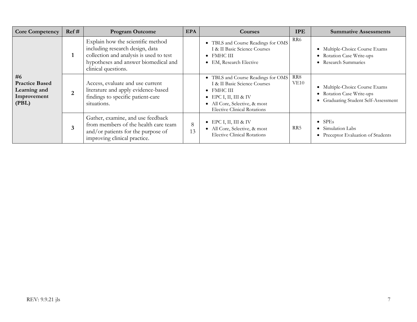| <b>Core Competency</b>                                              | Ref#           | <b>Program Outcome</b>                                                                                                                                                         | <b>EPA</b> | <b>Courses</b>                                                                                                                                                                                   | <b>IPE</b>              | <b>Summative Assessments</b>                                                                        |
|---------------------------------------------------------------------|----------------|--------------------------------------------------------------------------------------------------------------------------------------------------------------------------------|------------|--------------------------------------------------------------------------------------------------------------------------------------------------------------------------------------------------|-------------------------|-----------------------------------------------------------------------------------------------------|
|                                                                     | 1              | Explain how the scientific method<br>including research design, data<br>collection and analysis is used to test<br>hypotheses and answer biomedical and<br>clinical questions. |            | • TBLS and Course Readings for OMS<br>I & II Basic Science Courses<br>$\bullet$ FMHC III<br>• EM, Research Elective                                                                              | RR6                     | • Multiple-Choice Course Exams<br>• Rotation Case Write-ups<br>• Research Summaries                 |
| #6<br><b>Practice Based</b><br>Learning and<br>Improvement<br>(PBL) | $\overline{2}$ | Access, evaluate and use current<br>literature and apply evidence-based<br>findings to specific patient-care<br>situations.                                                    |            | • TBLS and Course Readings for OMS<br>I & II Basic Science Courses<br>$\bullet$ FMHC III<br>$\bullet$ EPC I, II, III & IV<br>• All Core, Selective, & most<br><b>Elective Clinical Rotations</b> | RR8<br>VE <sub>10</sub> | • Multiple-Choice Course Exams<br>• Rotation Case Write-ups<br>• Graduating Student Self-Assessment |
|                                                                     | 3              | Gather, examine, and use feedback<br>from members of the health care team<br>and/or patients for the purpose of<br>improving clinical practice.                                | 8<br>13    | $\bullet$ EPC I, II, III & IV<br>• All Core, Selective, & most<br><b>Elective Clinical Rotations</b>                                                                                             | RR5                     | $\bullet$ SPEs<br>• Simulation Labs<br>• Preceptor Evaluation of Students                           |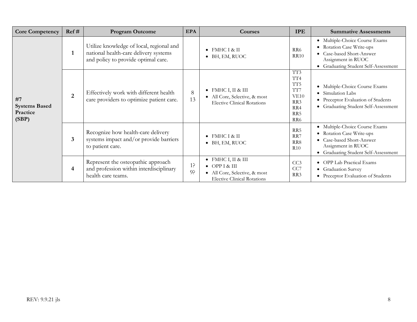| <b>Core Competency</b>                          | Ref#                    | <b>Program Outcome</b>                                                                                                   | <b>EPA</b>  | <b>Courses</b>                                                                                                             | <b>IPE</b>                                                                                       | <b>Summative Assessments</b>                                                                                                                           |
|-------------------------------------------------|-------------------------|--------------------------------------------------------------------------------------------------------------------------|-------------|----------------------------------------------------------------------------------------------------------------------------|--------------------------------------------------------------------------------------------------|--------------------------------------------------------------------------------------------------------------------------------------------------------|
|                                                 | $\mathbf{1}$            | Utilize knowledge of local, regional and<br>national health-care delivery systems<br>and policy to provide optimal care. |             | $\bullet$ FMHC I & II<br>$\bullet$ BH, EM, RUOC                                                                            | RR6<br><b>RR10</b>                                                                               | · Multiple-Choice Course Exams<br>• Rotation Case Write-ups<br>• Case-based Short-Answer<br>Assignment in RUOC<br>• Graduating Student Self-Assessment |
| #7<br><b>Systems Based</b><br>Practice<br>(SBP) | $\overline{2}$          | Effectively work with different health<br>care providers to optimize patient care.                                       | 8<br>13     | $\bullet$ FMHC I, II & III<br>• All Core, Selective, & most<br><b>Elective Clinical Rotations</b>                          | $\overline{T}$ <sup>3</sup><br>TT4<br>TT <sub>5</sub><br>TT7<br>VE10<br>RR3<br>RR4<br>RR5<br>RR6 | • Multiple-Choice Course Exams<br>• Simulation Labs<br>• Preceptor Evaluation of Students<br>• Graduating Student Self-Assessment                      |
|                                                 | $\overline{\mathbf{3}}$ | Recognize how health-care delivery<br>systems impact and/or provide barriers<br>to patient care.                         |             | • FMHC I & II<br>$\bullet$ BH, EM, RUOC                                                                                    | RR5<br>RR7<br>RR8<br>R10                                                                         | · Multiple-Choice Course Exams<br>• Rotation Case Write-ups<br>• Case-based Short-Answer<br>Assignment in RUOC<br>• Graduating Student Self-Assessment |
|                                                 | $\overline{\mathbf{4}}$ | Represent the osteopathic approach<br>and profession within interdisciplinary<br>health care teams.                      | $1$ ?<br>9? | $\bullet$ FMHC I, II & III<br>$\bullet$ OPP I & III<br>• All Core, Selective, & most<br><b>Elective Clinical Rotations</b> | CC3<br>CC7<br>RR3                                                                                | • OPP Lab Practical Exams<br>• Graduation Survey<br>• Preceptor Evaluation of Students                                                                 |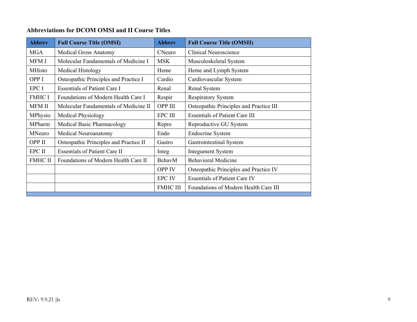## **Abbreviations for DCOM OMSI and II Course Titles**

| <b>Abbrev</b>  | <b>Full Course Title (OMSI)</b>        | <b>Abbrev</b>   | <b>Full Course Title (OMSII)</b>        |
|----------------|----------------------------------------|-----------------|-----------------------------------------|
| <b>MGA</b>     | <b>Medical Gross Anatomy</b>           | CNeuro          | <b>Clinical Neuroscience</b>            |
| MFM I          | Molecular Fundamentals of Medicine I   | <b>MSK</b>      | Musculoskeletal System                  |
| <b>MHisto</b>  | Medical Histology                      | Heme            | Heme and Lymph System                   |
| OPP I          | Osteopathic Principles and Practice I  | Cardio          | Cardiovascular System                   |
| EPC I          | <b>Essentials of Patient Care I</b>    | Renal           | Renal System                            |
| <b>FMHC I</b>  | Foundations of Modern Health Care I    | Respir          | <b>Respiratory System</b>               |
| <b>MFM II</b>  | Molecular Fundamentals of Medicine II  | OPP III         | Osteopathic Principles and Practice III |
| <b>MPhysio</b> | <b>Medical Physiology</b>              | <b>EPC III</b>  | <b>Essentials of Patient Care III</b>   |
| MPharm         | Medical Basic Pharmacology             | Repro           | Reproductive GU System                  |
| MNeuro         | Medical Neuroanatomy                   | Endo            | <b>Endocrine System</b>                 |
| OPP II         | Osteopathic Principles and Practice II | Gastro          | Gastrointestinal System                 |
| EPC II         | <b>Essentials of Patient Care II</b>   | Integ           | <b>Integument System</b>                |
| <b>FMHC II</b> | Foundations of Modern Health Care II   | BehavM          | <b>Behavioral Medicine</b>              |
|                |                                        | <b>OPP IV</b>   | Osteopathic Principles and Practice IV  |
|                |                                        | <b>EPC IV</b>   | <b>Essentials of Patient Care IV</b>    |
|                |                                        | <b>FMHC III</b> | Foundations of Modern Health Care III   |